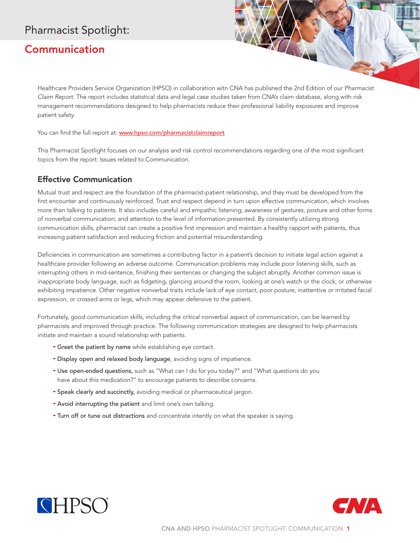# **Communication**

Healthcare Providers Service Organization (HPSO) in collaboration with CNA has published the 2nd Edition of our *Pharmacist Claim Report*. The report includes statistical data and legal case studies taken from CNA's claim database, along with risk management recommendations designed to help pharmacists reduce their professional liability exposures and improve patient safety.

You can find the full report at: www.hpso.com/pharmacistclaimreport

This Pharmacist Spotlight focuses on our analysis and risk control recommendations regarding one of the most significant topics from the report: Issues related to Communication.

### Effective Communication

Mutual trust and respect are the foundation of the pharmacist-patient relationship, and they must be developed from the first encounter and continuously reinforced. Trust and respect depend in turn upon effective communication, which involves more than talking to patients. It also includes careful and empathic listening; awareness of gestures, posture and other forms of nonverbal communication; and attention to the level of information presented. By consistently utilizing strong communication skills, pharmacist can create a positive first impression and maintain a healthy rapport with patients, thus increasing patient satisfaction and reducing friction and potential misunderstanding.

Deficiencies in communication are sometimes a contributing factor in a patient's decision to initiate legal action against a healthcare provider following an adverse outcome. Communication problems may include poor listening skills, such as interrupting others in mid-sentence, finishing their sentences or changing the subject abruptly. Another common issue is inappropriate body language, such as fidgeting, glancing around the room, looking at one's watch or the clock, or otherwise exhibiting impatience. Other negative nonverbal traits include lack of eye contact, poor posture, inattentive or irritated facial expression, or crossed arms or legs, which may appear defensive to the patient.

Fortunately, good communication skills, including the critical nonverbal aspect of communication, can be learned by pharmacists and improved through practice. The following communication strategies are designed to help pharmacists initiate and maintain a sound relationship with patients.

- **Greet the patient by name** while establishing eye contact.
- Display open and relaxed body language, avoiding signs of impatience.
- Use open-ended questions, such as "What can I do for you today?" and "What questions do you have about this medication?" to encourage patients to describe concerns.
- Speak clearly and succinctly, avoiding medical or pharmaceutical jargon.
- Avoid interrupting the patient and limit one's own talking.
- Turn off or tune out distractions and concentrate intently on what the speaker is saying.



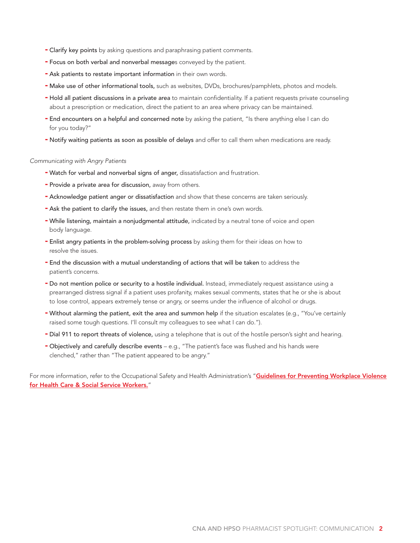- Clarify key points by asking questions and paraphrasing patient comments.
- Focus on both verbal and nonverbal messages conveyed by the patient.
- Ask patients to restate important information in their own words.
- Make use of other informational tools, such as websites, DVDs, brochures/pamphlets, photos and models.
- Hold all patient discussions in a private area to maintain confidentiality. If a patient requests private counseling about a prescription or medication, direct the patient to an area where privacy can be maintained.
- End encounters on a helpful and concerned note by asking the patient, "Is there anything else I can do for you today?"
- Notify waiting patients as soon as possible of delays and offer to call them when medications are ready.

#### *Communicating with Angry Patients*

- Watch for verbal and nonverbal signs of anger, dissatisfaction and frustration.
- Provide a private area for discussion, away from others.
- Acknowledge patient anger or dissatisfaction and show that these concerns are taken seriously.
- Ask the patient to clarify the issues, and then restate them in one's own words.
- While listening, maintain a nonjudgmental attitude, indicated by a neutral tone of voice and open body language.
- Enlist angry patients in the problem-solving process by asking them for their ideas on how to resolve the issues.
- End the discussion with a mutual understanding of actions that will be taken to address the patient's concerns.
- Do not mention police or security to a hostile individual. Instead, immediately request assistance using a prearranged distress signal if a patient uses profanity, makes sexual comments, states that he or she is about to lose control, appears extremely tense or angry, or seems under the influence of alcohol or drugs.
- Without alarming the patient, exit the area and summon help if the situation escalates (e.g., "You've certainly raised some tough questions. I'll consult my colleagues to see what I can do.").
- Dial 911 to report threats of violence, using a telephone that is out of the hostile person's sight and hearing.
- Objectively and carefully describe events e.g., "The patient's face was flushed and his hands were clenched," rather than "The patient appeared to be angry."

For more information, refer to the Occupational Safety and Health Administration's "Guidelines for Preventing Workplace Violence [for Health Care & Social Service Workers.](https://www.osha.gov/Publications/osha3148.pdf)"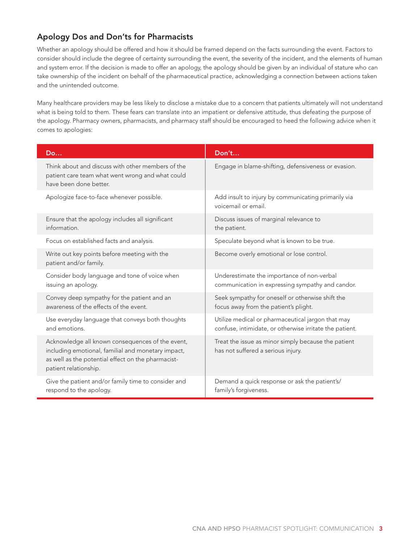## Apology Dos and Don'ts for Pharmacists

Whether an apology should be offered and how it should be framed depend on the facts surrounding the event. Factors to consider should include the degree of certainty surrounding the event, the severity of the incident, and the elements of human and system error. If the decision is made to offer an apology, the apology should be given by an individual of stature who can take ownership of the incident on behalf of the pharmaceutical practice, acknowledging a connection between actions taken and the unintended outcome.

Many healthcare providers may be less likely to disclose a mistake due to a concern that patients ultimately will not understand what is being told to them. These fears can translate into an impatient or defensive attitude, thus defeating the purpose of the apology. Pharmacy owners, pharmacists, and pharmacy staff should be encouraged to heed the following advice when it comes to apologies:

| Do                                                                                                                                                                                    | Don't                                                                                                        |  |
|---------------------------------------------------------------------------------------------------------------------------------------------------------------------------------------|--------------------------------------------------------------------------------------------------------------|--|
| Think about and discuss with other members of the<br>patient care team what went wrong and what could<br>have been done better.                                                       | Engage in blame-shifting, defensiveness or evasion.                                                          |  |
| Apologize face-to-face whenever possible.                                                                                                                                             | Add insult to injury by communicating primarily via<br>voicemail or email.                                   |  |
| Ensure that the apology includes all significant<br>information.                                                                                                                      | Discuss issues of marginal relevance to<br>the patient.                                                      |  |
| Focus on established facts and analysis.                                                                                                                                              | Speculate beyond what is known to be true.                                                                   |  |
| Write out key points before meeting with the<br>patient and/or family.                                                                                                                | Become overly emotional or lose control.                                                                     |  |
| Consider body language and tone of voice when<br>issuing an apology.                                                                                                                  | Underestimate the importance of non-verbal<br>communication in expressing sympathy and candor.               |  |
| Convey deep sympathy for the patient and an<br>awareness of the effects of the event.                                                                                                 | Seek sympathy for oneself or otherwise shift the<br>focus away from the patient's plight.                    |  |
| Use everyday language that conveys both thoughts<br>and emotions.                                                                                                                     | Utilize medical or pharmaceutical jargon that may<br>confuse, intimidate, or otherwise irritate the patient. |  |
| Acknowledge all known consequences of the event,<br>including emotional, familial and monetary impact,<br>as well as the potential effect on the pharmacist-<br>patient relationship. | Treat the issue as minor simply because the patient<br>has not suffered a serious injury.                    |  |
| Give the patient and/or family time to consider and<br>respond to the apology.                                                                                                        | Demand a quick response or ask the patient's/<br>family's forgiveness.                                       |  |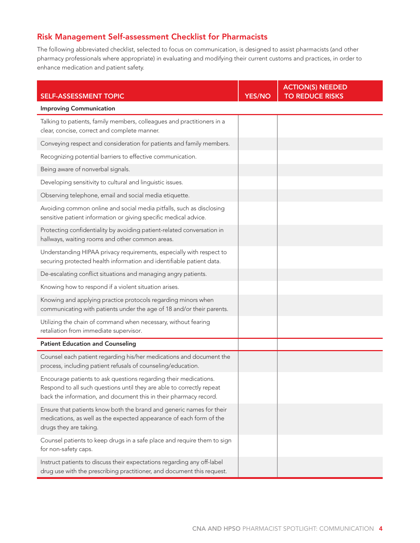### Risk Management Self-assessment Checklist for Pharmacists

The following abbreviated checklist, selected to focus on communication, is designed to assist pharmacists (and other pharmacy professionals where appropriate) in evaluating and modifying their current customs and practices, in order to enhance medication and patient safety.

| <b>SELF-ASSESSMENT TOPIC</b>                                                                                                                                                                                   | <b>YES/NO</b> | <b>ACTION(S) NEEDED</b><br><b>TO REDUCE RISKS</b> |  |
|----------------------------------------------------------------------------------------------------------------------------------------------------------------------------------------------------------------|---------------|---------------------------------------------------|--|
| <b>Improving Communication</b>                                                                                                                                                                                 |               |                                                   |  |
| Talking to patients, family members, colleagues and practitioners in a<br>clear, concise, correct and complete manner.                                                                                         |               |                                                   |  |
| Conveying respect and consideration for patients and family members.                                                                                                                                           |               |                                                   |  |
| Recognizing potential barriers to effective communication.                                                                                                                                                     |               |                                                   |  |
| Being aware of nonverbal signals.                                                                                                                                                                              |               |                                                   |  |
| Developing sensitivity to cultural and linguistic issues.                                                                                                                                                      |               |                                                   |  |
| Observing telephone, email and social media etiquette.                                                                                                                                                         |               |                                                   |  |
| Avoiding common online and social media pitfalls, such as disclosing<br>sensitive patient information or giving specific medical advice.                                                                       |               |                                                   |  |
| Protecting confidentiality by avoiding patient-related conversation in<br>hallways, waiting rooms and other common areas.                                                                                      |               |                                                   |  |
| Understanding HIPAA privacy requirements, especially with respect to<br>securing protected health information and identifiable patient data.                                                                   |               |                                                   |  |
| De-escalating conflict situations and managing angry patients.                                                                                                                                                 |               |                                                   |  |
| Knowing how to respond if a violent situation arises.                                                                                                                                                          |               |                                                   |  |
| Knowing and applying practice protocols regarding minors when<br>communicating with patients under the age of 18 and/or their parents.                                                                         |               |                                                   |  |
| Utilizing the chain of command when necessary, without fearing<br>retaliation from immediate supervisor.                                                                                                       |               |                                                   |  |
| <b>Patient Education and Counseling</b>                                                                                                                                                                        |               |                                                   |  |
| Counsel each patient regarding his/her medications and document the<br>process, including patient refusals of counseling/education.                                                                            |               |                                                   |  |
| Encourage patients to ask questions regarding their medications.<br>Respond to all such questions until they are able to correctly repeat<br>back the information, and document this in their pharmacy record. |               |                                                   |  |
| Ensure that patients know both the brand and generic names for their<br>medications, as well as the expected appearance of each form of the<br>drugs they are taking.                                          |               |                                                   |  |
| Counsel patients to keep drugs in a safe place and require them to sign<br>for non-safety caps.                                                                                                                |               |                                                   |  |
| Instruct patients to discuss their expectations regarding any off-label<br>drug use with the prescribing practitioner, and document this request.                                                              |               |                                                   |  |